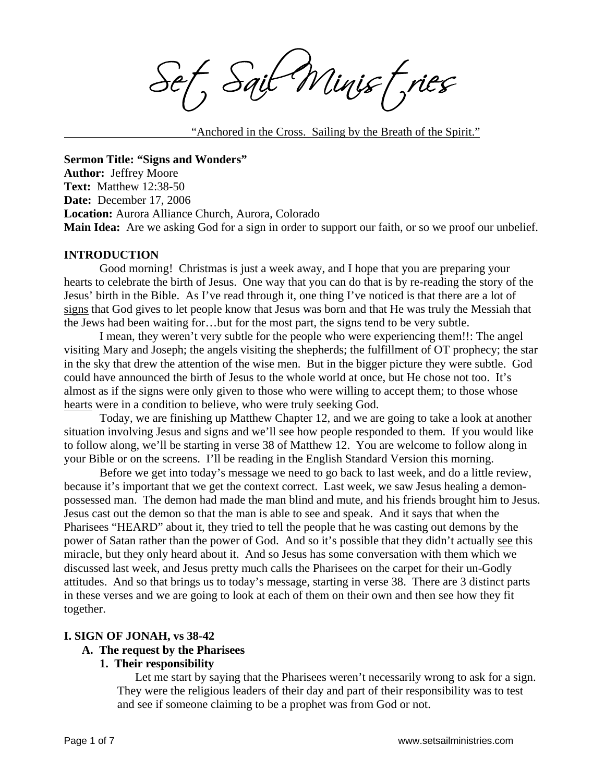f, Sait Minist, ries

"Anchored in the Cross. Sailing by the Breath of the Spirit."

**Sermon Title: "Signs and Wonders" Author:** Jeffrey Moore **Text:** Matthew 12:38-50 **Date:** December 17, 2006 **Location:** Aurora Alliance Church, Aurora, Colorado **Main Idea:** Are we asking God for a sign in order to support our faith, or so we proof our unbelief.

#### **INTRODUCTION**

Good morning! Christmas is just a week away, and I hope that you are preparing your hearts to celebrate the birth of Jesus. One way that you can do that is by re-reading the story of the Jesus' birth in the Bible. As I've read through it, one thing I've noticed is that there are a lot of signs that God gives to let people know that Jesus was born and that He was truly the Messiah that the Jews had been waiting for…but for the most part, the signs tend to be very subtle.

I mean, they weren't very subtle for the people who were experiencing them!!: The angel visiting Mary and Joseph; the angels visiting the shepherds; the fulfillment of OT prophecy; the star in the sky that drew the attention of the wise men. But in the bigger picture they were subtle. God could have announced the birth of Jesus to the whole world at once, but He chose not too. It's almost as if the signs were only given to those who were willing to accept them; to those whose hearts were in a condition to believe, who were truly seeking God.

Today, we are finishing up Matthew Chapter 12, and we are going to take a look at another situation involving Jesus and signs and we'll see how people responded to them. If you would like to follow along, we'll be starting in verse 38 of Matthew 12. You are welcome to follow along in your Bible or on the screens. I'll be reading in the English Standard Version this morning.

Before we get into today's message we need to go back to last week, and do a little review, because it's important that we get the context correct. Last week, we saw Jesus healing a demonpossessed man. The demon had made the man blind and mute, and his friends brought him to Jesus. Jesus cast out the demon so that the man is able to see and speak. And it says that when the Pharisees "HEARD" about it, they tried to tell the people that he was casting out demons by the power of Satan rather than the power of God. And so it's possible that they didn't actually see this miracle, but they only heard about it. And so Jesus has some conversation with them which we discussed last week, and Jesus pretty much calls the Pharisees on the carpet for their un-Godly attitudes. And so that brings us to today's message, starting in verse 38. There are 3 distinct parts in these verses and we are going to look at each of them on their own and then see how they fit together.

#### **I. SIGN OF JONAH, vs 38-42**

#### **A. The request by the Pharisees**

#### **1. Their responsibility**

Let me start by saying that the Pharisees weren't necessarily wrong to ask for a sign. They were the religious leaders of their day and part of their responsibility was to test and see if someone claiming to be a prophet was from God or not.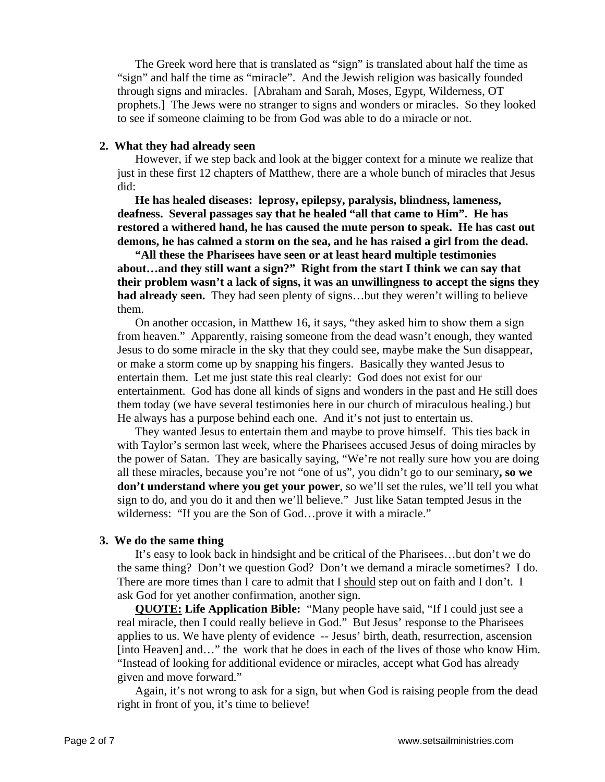The Greek word here that is translated as "sign" is translated about half the time as "sign" and half the time as "miracle". And the Jewish religion was basically founded through signs and miracles. [Abraham and Sarah, Moses, Egypt, Wilderness, OT prophets.] The Jews were no stranger to signs and wonders or miracles. So they looked to see if someone claiming to be from God was able to do a miracle or not.

#### **2. What they had already seen**

However, if we step back and look at the bigger context for a minute we realize that just in these first 12 chapters of Matthew, there are a whole bunch of miracles that Jesus did:

**He has healed diseases: leprosy, epilepsy, paralysis, blindness, lameness, deafness. Several passages say that he healed "all that came to Him". He has restored a withered hand, he has caused the mute person to speak. He has cast out demons, he has calmed a storm on the sea, and he has raised a girl from the dead.** 

**"All these the Pharisees have seen or at least heard multiple testimonies about…and they still want a sign?" Right from the start I think we can say that their problem wasn't a lack of signs, it was an unwillingness to accept the signs they had already seen.** They had seen plenty of signs…but they weren't willing to believe them.

On another occasion, in Matthew 16, it says, "they asked him to show them a sign from heaven." Apparently, raising someone from the dead wasn't enough, they wanted Jesus to do some miracle in the sky that they could see, maybe make the Sun disappear, or make a storm come up by snapping his fingers. Basically they wanted Jesus to entertain them. Let me just state this real clearly: God does not exist for our entertainment. God has done all kinds of signs and wonders in the past and He still does them today (we have several testimonies here in our church of miraculous healing.) but He always has a purpose behind each one. And it's not just to entertain us.

They wanted Jesus to entertain them and maybe to prove himself. This ties back in with Taylor's sermon last week, where the Pharisees accused Jesus of doing miracles by the power of Satan. They are basically saying, "We're not really sure how you are doing all these miracles, because you're not "one of us", you didn't go to our seminary**, so we don't understand where you get your power**, so we'll set the rules, we'll tell you what sign to do, and you do it and then we'll believe." Just like Satan tempted Jesus in the wilderness: "If you are the Son of God…prove it with a miracle."

#### **3. We do the same thing**

It's easy to look back in hindsight and be critical of the Pharisees…but don't we do the same thing? Don't we question God? Don't we demand a miracle sometimes? I do. There are more times than I care to admit that I should step out on faith and I don't. I ask God for yet another confirmation, another sign.

**QUOTE: Life Application Bible:** "Many people have said, "If I could just see a real miracle, then I could really believe in God." But Jesus' response to the Pharisees applies to us. We have plenty of evidence -- Jesus' birth, death, resurrection, ascension [into Heaven] and…" the work that he does in each of the lives of those who know Him. "Instead of looking for additional evidence or miracles, accept what God has already given and move forward."

Again, it's not wrong to ask for a sign, but when God is raising people from the dead right in front of you, it's time to believe!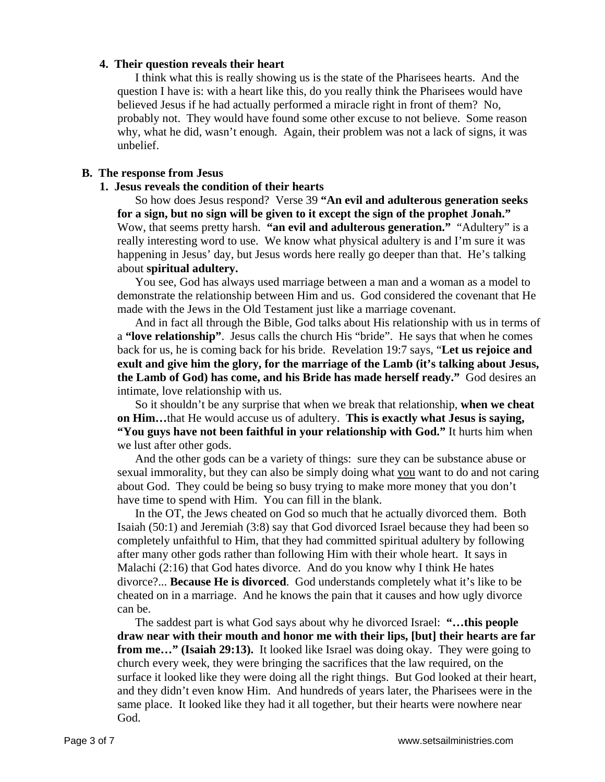## **4. Their question reveals their heart**

I think what this is really showing us is the state of the Pharisees hearts. And the question I have is: with a heart like this, do you really think the Pharisees would have believed Jesus if he had actually performed a miracle right in front of them? No, probably not. They would have found some other excuse to not believe. Some reason why, what he did, wasn't enough. Again, their problem was not a lack of signs, it was unbelief.

## **B. The response from Jesus**

## **1. Jesus reveals the condition of their hearts**

So how does Jesus respond? Verse 39 **"An evil and adulterous generation seeks for a sign, but no sign will be given to it except the sign of the prophet Jonah."** Wow, that seems pretty harsh. **"an evil and adulterous generation."** "Adultery" is a really interesting word to use. We know what physical adultery is and I'm sure it was happening in Jesus' day, but Jesus words here really go deeper than that. He's talking about **spiritual adultery.** 

You see, God has always used marriage between a man and a woman as a model to demonstrate the relationship between Him and us. God considered the covenant that He made with the Jews in the Old Testament just like a marriage covenant.

And in fact all through the Bible, God talks about His relationship with us in terms of a **"love relationship"**. Jesus calls the church His "bride". He says that when he comes back for us, he is coming back for his bride. Revelation 19:7 says, "**Let us rejoice and exult and give him the glory, for the marriage of the Lamb (it's talking about Jesus, the Lamb of God) has come, and his Bride has made herself ready."** God desires an intimate, love relationship with us.

So it shouldn't be any surprise that when we break that relationship, **when we cheat on Him…**that He would accuse us of adultery. **This is exactly what Jesus is saying, "You guys have not been faithful in your relationship with God."** It hurts him when we lust after other gods.

And the other gods can be a variety of things: sure they can be substance abuse or sexual immorality, but they can also be simply doing what you want to do and not caring about God. They could be being so busy trying to make more money that you don't have time to spend with Him. You can fill in the blank.

In the OT, the Jews cheated on God so much that he actually divorced them. Both Isaiah (50:1) and Jeremiah (3:8) say that God divorced Israel because they had been so completely unfaithful to Him, that they had committed spiritual adultery by following after many other gods rather than following Him with their whole heart. It says in Malachi  $(2:16)$  that God hates divorce. And do you know why I think He hates divorce?... **Because He is divorced**. God understands completely what it's like to be cheated on in a marriage. And he knows the pain that it causes and how ugly divorce can be.

The saddest part is what God says about why he divorced Israel: **"…this people draw near with their mouth and honor me with their lips, [but] their hearts are far from me…" (Isaiah 29:13).** It looked like Israel was doing okay. They were going to church every week, they were bringing the sacrifices that the law required, on the surface it looked like they were doing all the right things. But God looked at their heart, and they didn't even know Him. And hundreds of years later, the Pharisees were in the same place. It looked like they had it all together, but their hearts were nowhere near God.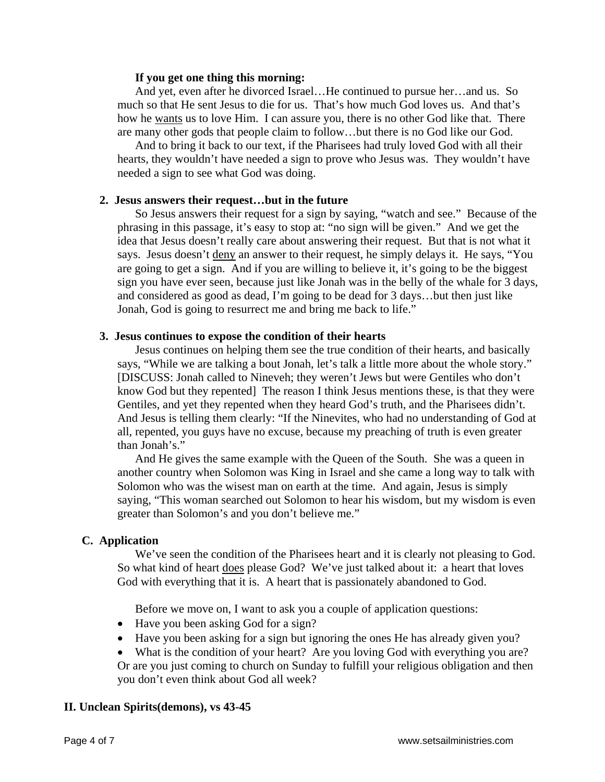#### **If you get one thing this morning:**

And yet, even after he divorced Israel…He continued to pursue her…and us. So much so that He sent Jesus to die for us. That's how much God loves us. And that's how he wants us to love Him. I can assure you, there is no other God like that. There are many other gods that people claim to follow…but there is no God like our God.

And to bring it back to our text, if the Pharisees had truly loved God with all their hearts, they wouldn't have needed a sign to prove who Jesus was. They wouldn't have needed a sign to see what God was doing.

#### **2. Jesus answers their request…but in the future**

So Jesus answers their request for a sign by saying, "watch and see." Because of the phrasing in this passage, it's easy to stop at: "no sign will be given." And we get the idea that Jesus doesn't really care about answering their request. But that is not what it says. Jesus doesn't deny an answer to their request, he simply delays it. He says, "You are going to get a sign. And if you are willing to believe it, it's going to be the biggest sign you have ever seen, because just like Jonah was in the belly of the whale for 3 days, and considered as good as dead, I'm going to be dead for 3 days…but then just like Jonah, God is going to resurrect me and bring me back to life."

#### **3. Jesus continues to expose the condition of their hearts**

Jesus continues on helping them see the true condition of their hearts, and basically says, "While we are talking a bout Jonah, let's talk a little more about the whole story." [DISCUSS: Jonah called to Nineveh; they weren't Jews but were Gentiles who don't know God but they repented] The reason I think Jesus mentions these, is that they were Gentiles, and yet they repented when they heard God's truth, and the Pharisees didn't. And Jesus is telling them clearly: "If the Ninevites, who had no understanding of God at all, repented, you guys have no excuse, because my preaching of truth is even greater than Jonah's."

And He gives the same example with the Queen of the South. She was a queen in another country when Solomon was King in Israel and she came a long way to talk with Solomon who was the wisest man on earth at the time. And again, Jesus is simply saying, "This woman searched out Solomon to hear his wisdom, but my wisdom is even greater than Solomon's and you don't believe me."

#### **C. Application**

We've seen the condition of the Pharisees heart and it is clearly not pleasing to God. So what kind of heart does please God? We've just talked about it: a heart that loves God with everything that it is. A heart that is passionately abandoned to God.

Before we move on, I want to ask you a couple of application questions:

- Have you been asking God for a sign?
- Have you been asking for a sign but ignoring the ones He has already given you?
- What is the condition of your heart? Are you loving God with everything you are?

Or are you just coming to church on Sunday to fulfill your religious obligation and then you don't even think about God all week?

#### **II. Unclean Spirits(demons), vs 43-45**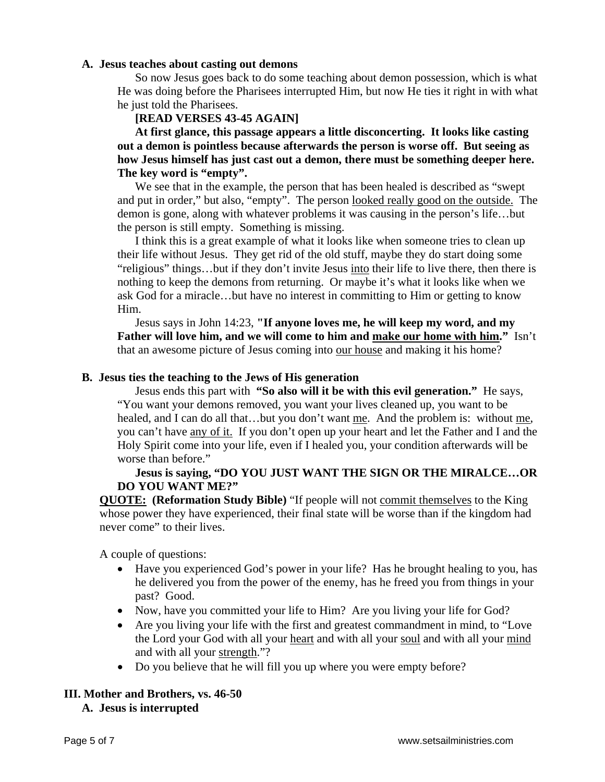## **A. Jesus teaches about casting out demons**

So now Jesus goes back to do some teaching about demon possession, which is what He was doing before the Pharisees interrupted Him, but now He ties it right in with what he just told the Pharisees.

## **[READ VERSES 43-45 AGAIN]**

**At first glance, this passage appears a little disconcerting. It looks like casting out a demon is pointless because afterwards the person is worse off. But seeing as how Jesus himself has just cast out a demon, there must be something deeper here. The key word is "empty".** 

We see that in the example, the person that has been healed is described as "swept and put in order," but also, "empty". The person looked really good on the outside. The demon is gone, along with whatever problems it was causing in the person's life…but the person is still empty. Something is missing.

I think this is a great example of what it looks like when someone tries to clean up their life without Jesus. They get rid of the old stuff, maybe they do start doing some "religious" things…but if they don't invite Jesus into their life to live there, then there is nothing to keep the demons from returning. Or maybe it's what it looks like when we ask God for a miracle…but have no interest in committing to Him or getting to know Him.

Jesus says in John 14:23, **"If anyone loves me, he will keep my word, and my Father will love him, and we will come to him and make our home with him."** Isn't that an awesome picture of Jesus coming into our house and making it his home?

## **B. Jesus ties the teaching to the Jews of His generation**

Jesus ends this part with **"So also will it be with this evil generation."** He says, "You want your demons removed, you want your lives cleaned up, you want to be healed, and I can do all that...but you don't want me. And the problem is: without me, you can't have any of it. If you don't open up your heart and let the Father and I and the Holy Spirit come into your life, even if I healed you, your condition afterwards will be worse than before."

# **Jesus is saying, "DO YOU JUST WANT THE SIGN OR THE MIRALCE…OR DO YOU WANT ME?"**

**QUOTE: (Reformation Study Bible)** "If people will not commit themselves to the King whose power they have experienced, their final state will be worse than if the kingdom had never come" to their lives.

A couple of questions:

- Have you experienced God's power in your life? Has he brought healing to you, has he delivered you from the power of the enemy, has he freed you from things in your past? Good.
- Now, have you committed your life to Him? Are you living your life for God?
- Are you living your life with the first and greatest commandment in mind, to "Love" the Lord your God with all your heart and with all your soul and with all your mind and with all your strength."?
- Do you believe that he will fill you up where you were empty before?

# **III. Mother and Brothers, vs. 46-50**

## **A. Jesus is interrupted**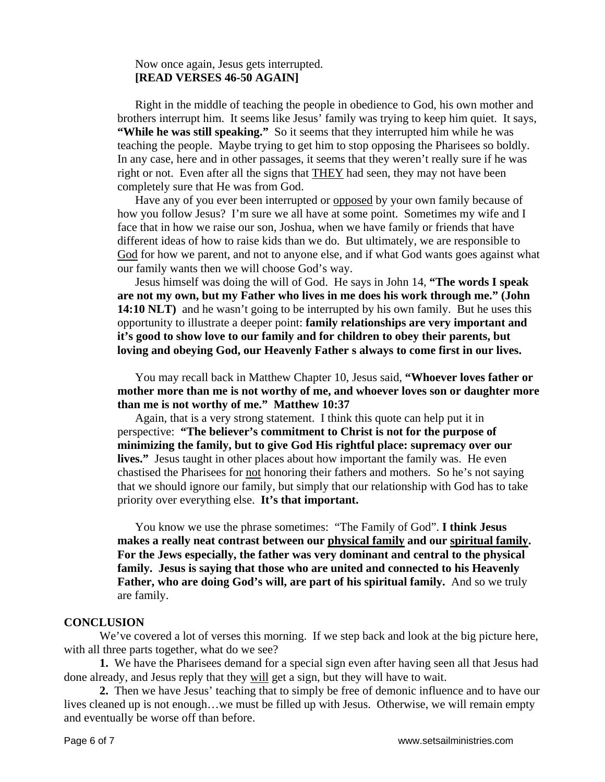## Now once again, Jesus gets interrupted. **[READ VERSES 46-50 AGAIN]**

Right in the middle of teaching the people in obedience to God, his own mother and brothers interrupt him. It seems like Jesus' family was trying to keep him quiet. It says, **"While he was still speaking."** So it seems that they interrupted him while he was teaching the people. Maybe trying to get him to stop opposing the Pharisees so boldly. In any case, here and in other passages, it seems that they weren't really sure if he was right or not. Even after all the signs that **THEY** had seen, they may not have been completely sure that He was from God.

Have any of you ever been interrupted or opposed by your own family because of how you follow Jesus? I'm sure we all have at some point. Sometimes my wife and I face that in how we raise our son, Joshua, when we have family or friends that have different ideas of how to raise kids than we do. But ultimately, we are responsible to God for how we parent, and not to anyone else, and if what God wants goes against what our family wants then we will choose God's way.

Jesus himself was doing the will of God. He says in John 14, **"The words I speak are not my own, but my Father who lives in me does his work through me." (John 14:10 NLT**) and he wasn't going to be interrupted by his own family. But he uses this opportunity to illustrate a deeper point: **family relationships are very important and it's good to show love to our family and for children to obey their parents, but loving and obeying God, our Heavenly Father s always to come first in our lives.** 

You may recall back in Matthew Chapter 10, Jesus said, **"Whoever loves father or mother more than me is not worthy of me, and whoever loves son or daughter more than me is not worthy of me." Matthew 10:37** 

Again, that is a very strong statement. I think this quote can help put it in perspective: **"The believer's commitment to Christ is not for the purpose of minimizing the family, but to give God His rightful place: supremacy over our lives."** Jesus taught in other places about how important the family was. He even chastised the Pharisees for not honoring their fathers and mothers. So he's not saying that we should ignore our family, but simply that our relationship with God has to take priority over everything else. **It's that important.**

You know we use the phrase sometimes: "The Family of God". **I think Jesus makes a really neat contrast between our physical family and our spiritual family.**  For the Jews especially, the father was very dominant and central to the physical **family. Jesus is saying that those who are united and connected to his Heavenly Father, who are doing God's will, are part of his spiritual family.** And so we truly are family.

#### **CONCLUSION**

We've covered a lot of verses this morning. If we step back and look at the big picture here, with all three parts together, what do we see?

**1.** We have the Pharisees demand for a special sign even after having seen all that Jesus had done already, and Jesus reply that they will get a sign, but they will have to wait.

**2.** Then we have Jesus' teaching that to simply be free of demonic influence and to have our lives cleaned up is not enough…we must be filled up with Jesus. Otherwise, we will remain empty and eventually be worse off than before.